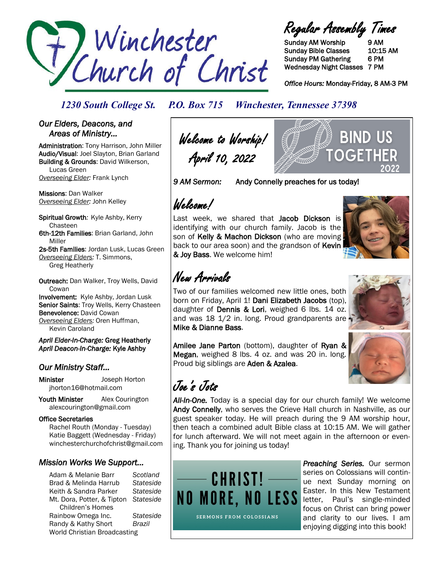

Regular Assembly Times

Sunday AM Worship 9 AM Sunday Bible Classes 10:15 AM Sunday PM Gathering 6 PM Wednesday Night Classes 7 PM

*Office Hours:* Monday-Friday, 8 AM-3 PM

### *1230 South College St. P.O. Box 715 Winchester, Tennessee 37398*

#### *Our Elders, Deacons, and Areas of Ministry…*

Administration: Tony Harrison, John Miller Audio/Visual: Joel Slayton, Brian Garland Building & Grounds: David Wilkerson, Lucas Green *Overseeing Elder:* Frank Lynch

Missions: Dan Walker *Overseeing Elder:* John Kelley

Spiritual Growth*:* Kyle Ashby, Kerry Chasteen 6th-12th Families: Brian Garland, John Miller 2s-5th Families: Jordan Lusk, Lucas Green *Overseeing Elders:* T. Simmons,

Greg Heatherly

Outreach: Dan Walker, Troy Wells, David **Cowan** Involvement: Kyle Ashby, Jordan Lusk Senior Saints: Troy Wells, Kerry Chasteen Benevolence: David Cowan *Overseeing Elders:* Oren Huffman,

Kevin Caroland *April Elder-In-Charge:* Greg Heatherly *April Deacon-In-Charge:* Kyle Ashby

### *Our Ministry Staff…*

Minister Joseph Horton jhorton16@hotmail.com

Youth Minister Alex Courington alexcourington@gmail.com

#### Office Secretaries

 Rachel Routh (Monday - Tuesday) Katie Baggett (Wednesday - Friday) winchesterchurchofchrist@gmail.com

### *Mission Works We Support…*

Adam & Melanie Barr *Scotland* Brad & Melinda Harrub *Stateside* Keith & Sandra Parker *Stateside* Mt. Dora, Potter, & Tipton *Stateside* Children's Homes Rainbow Omega Inc. *Stateside* Randy & Kathy Short *Brazil* World Christian Broadcasting

Welcome to Worship! April 10, 2022

*9 AM Sermon:* Andy Connelly preaches for us today!

 $\mu$ le.lc.ome./

Last week, we shared that Jacob Dickson is identifying with our church family. Jacob is the son of Kelly & Machon Dickson (who are moving back to our area soon) and the grandson of Kevin & Joy Bass. We welcome him!



BIND US

OGETH

## New Arrivals

Two of our families welcomed new little ones, both born on Friday, April 1! Dani Elizabeth Jacobs (top), daughter of Dennis & Lori, weighed 6 lbs. 14 oz. and was 18 1/2 in. long. Proud grandparents are Mike & Dianne Bass.

Amilee Jane Parton (bottom), daughter of Ryan & Megan, weighed 8 lbs. 4 oz. and was 20 in. long. Proud big siblings are Aden & Azalea.

Joe's Jots

*All-In-One.* Today is a special day for our church family! We welcome Andy Connelly, who serves the Crieve Hall church in Nashville, as our guest speaker today. He will preach during the 9 AM worship hour, then teach a combined adult Bible class at 10:15 AM. We will gather for lunch afterward. We will not meet again in the afternoon or evening. Thank you for joining us today!



**SERMONS FROM COLOSSIANS** 

*Preaching Series.* Our sermon series on Colossians will continue next Sunday morning on Easter. In this New Testament letter, Paul's single-minded focus on Christ can bring power and clarity to our lives. I am enjoying digging into this book!